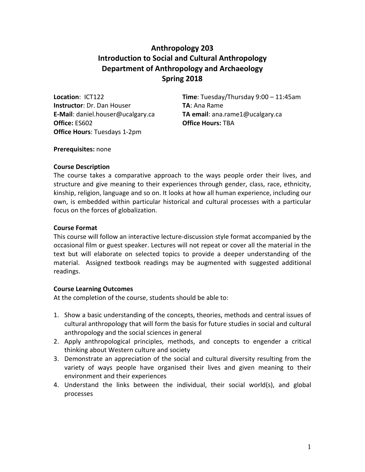# **Anthropology 203 Introduction to Social and Cultural Anthropology Department of Anthropology and Archaeology Spring 2018**

**Instructor**: Dr. Dan Houser **TA:** Ana Rame **Office:** ES602 **Office Hours:** TBA **Office Hours**: Tuesdays 1-2pm

**Location**: ICT122 **Time**: Tuesday/Thursday 9:00 – 11:45am **E-Mail**: daniel.houser@ucalgary.ca **TA email**: ana.rame1@ucalgary.ca

#### **Prerequisites:** none

## **Course Description**

The course takes a comparative approach to the ways people order their lives, and structure and give meaning to their experiences through gender, class, race, ethnicity, kinship, religion, language and so on. It looks at how all human experience, including our own, is embedded within particular historical and cultural processes with a particular focus on the forces of globalization.

## **Course Format**

This course will follow an interactive lecture-discussion style format accompanied by the occasional film or guest speaker. Lectures will not repeat or cover all the material in the text but will elaborate on selected topics to provide a deeper understanding of the material. Assigned textbook readings may be augmented with suggested additional readings.

# **Course Learning Outcomes**

At the completion of the course, students should be able to:

- 1. Show a basic understanding of the concepts, theories, methods and central issues of cultural anthropology that will form the basis for future studies in social and cultural anthropology and the social sciences in general
- 2. Apply anthropological principles, methods, and concepts to engender a critical thinking about Western culture and society
- 3. Demonstrate an appreciation of the social and cultural diversity resulting from the variety of ways people have organised their lives and given meaning to their environment and their experiences
- 4. Understand the links between the individual, their social world(s), and global processes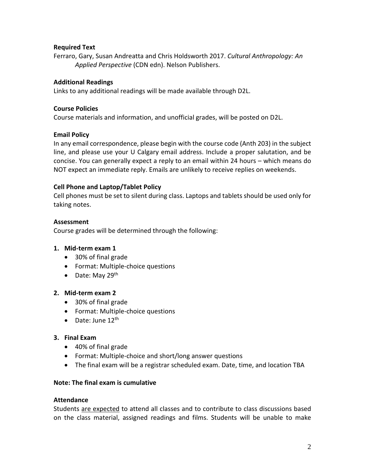## **Required Text**

Ferraro, Gary, Susan Andreatta and Chris Holdsworth 2017. *Cultural Anthropology: An Applied Perspective* (CDN edn). Nelson Publishers.

## **Additional Readings**

Links to any additional readings will be made available through D2L.

#### **Course Policies**

Course materials and information, and unofficial grades, will be posted on D2L.

## **Email Policy**

In any email correspondence, please begin with the course code (Anth 203) in the subject line, and please use your U Calgary email address. Include a proper salutation, and be concise. You can generally expect a reply to an email within 24 hours – which means do NOT expect an immediate reply. Emails are unlikely to receive replies on weekends.

## **Cell Phone and Laptop/Tablet Policy**

Cell phones must be set to silent during class. Laptops and tablets should be used only for taking notes.

## **Assessment**

Course grades will be determined through the following:

#### **1. Mid-term exam 1**

- 30% of final grade
- Format: Multiple-choice questions
- Date: May 29<sup>th</sup>

#### **2. Mid-term exam 2**

- 30% of final grade
- Format: Multiple-choice questions
- Date: June  $12^{\text{th}}$

#### **3. Final Exam**

- 40% of final grade
- Format: Multiple-choice and short/long answer questions
- The final exam will be a registrar scheduled exam. Date, time, and location TBA

#### **Note: The final exam is cumulative**

#### **Attendance**

Students are expected to attend all classes and to contribute to class discussions based on the class material, assigned readings and films. Students will be unable to make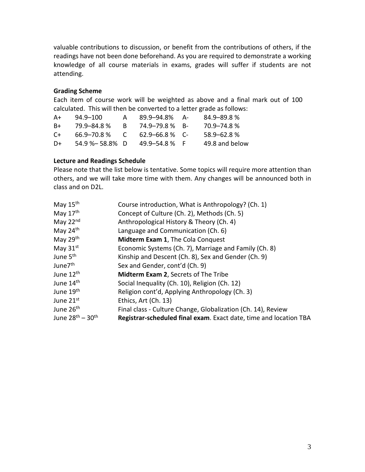valuable contributions to discussion, or benefit from the contributions of others, if the readings have not been done beforehand. As you are required to demonstrate a working knowledge of all course materials in exams, grades will suffer if students are not attending.

#### **Grading Scheme**

Each item of course work will be weighted as above and a final mark out of 100 calculated. This will then be converted to a letter grade as follows:

| A+    | 94.9-100            | А          | 89.9–94.8% A-       | 84.9-89.8%     |
|-------|---------------------|------------|---------------------|----------------|
| B+    | 79.9–84.8%          | R.         | 74.9–79.8 % B-      | 70.9–74.8%     |
| $C +$ | 66.9–70.8 %         | $\sqrt{ }$ | $62.9 - 66.8 \%$ C- | $58.9 - 62.8%$ |
| D+    | $54.9\% - 58.8\%$ D |            | $49.9 - 54.8 \%$ F  | 49.8 and below |

## **Lecture and Readings Schedule**

Please note that the list below is tentative. Some topics will require more attention than others, and we will take more time with them. Any changes will be announced both in class and on D2L.

| May $15th$            | Course introduction, What is Anthropology? (Ch. 1)                |
|-----------------------|-------------------------------------------------------------------|
| May $17th$            | Concept of Culture (Ch. 2), Methods (Ch. 5)                       |
| May $22nd$            | Anthropological History & Theory (Ch. 4)                          |
| May $24th$            | Language and Communication (Ch. 6)                                |
| May $29th$            | <b>Midterm Exam 1, The Cola Conquest</b>                          |
| May $31st$            | Economic Systems (Ch. 7), Marriage and Family (Ch. 8)             |
| June 5 <sup>th</sup>  | Kinship and Descent (Ch. 8), Sex and Gender (Ch. 9)               |
| June7 <sup>th</sup>   | Sex and Gender, cont'd (Ch. 9)                                    |
| June 12 <sup>th</sup> | <b>Midterm Exam 2, Secrets of The Tribe</b>                       |
| June 14 <sup>th</sup> | Social Inequality (Ch. 10), Religion (Ch. 12)                     |
| June 19 <sup>th</sup> | Religion cont'd, Applying Anthropology (Ch. 3)                    |
| June 21st             | Ethics, Art (Ch. 13)                                              |
| June 26 <sup>th</sup> | Final class - Culture Change, Globalization (Ch. 14), Review      |
| June $28th - 30th$    | Registrar-scheduled final exam. Exact date, time and location TBA |
|                       |                                                                   |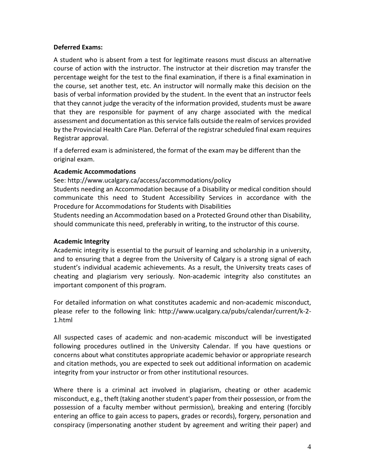## **Deferred Exams:**

A student who is absent from a test for legitimate reasons must discuss an alternative course of action with the instructor. The instructor at their discretion may transfer the percentage weight for the test to the final examination, if there is a final examination in the course, set another test, etc. An instructor will normally make this decision on the basis of verbal information provided by the student. In the event that an instructor feels that they cannot judge the veracity of the information provided, students must be aware that they are responsible for payment of any charge associated with the medical assessment and documentation as this service falls outside the realm of services provided by the Provincial Health Care Plan. Deferral of the registrar scheduled final exam requires Registrar approval.

If a deferred exam is administered, the format of the exam may be different than the original exam.

## **Academic Accommodations**

See: http://www.ucalgary.ca/access/accommodations/policy Students needing an Accommodation because of a Disability or medical condition should communicate this need to Student Accessibility Services in accordance with the Procedure for Accommodations for Students with Disabilities

Students needing an Accommodation based on a Protected Ground other than Disability, should communicate this need, preferably in writing, to the instructor of this course.

# **Academic Integrity**

Academic integrity is essential to the pursuit of learning and scholarship in a university, and to ensuring that a degree from the University of Calgary is a strong signal of each student's individual academic achievements. As a result, the University treats cases of cheating and plagiarism very seriously. Non-academic integrity also constitutes an important component of this program.

For detailed information on what constitutes academic and non-academic misconduct, please refer to the following link: http://www.ucalgary.ca/pubs/calendar/current/k-2- 1.html

All suspected cases of academic and non-academic misconduct will be investigated following procedures outlined in the University Calendar. If you have questions or concerns about what constitutes appropriate academic behavior or appropriate research and citation methods, you are expected to seek out additional information on academic integrity from your instructor or from other institutional resources.

Where there is a criminal act involved in plagiarism, cheating or other academic misconduct, e.g., theft (taking another student's paper from their possession, or from the possession of a faculty member without permission), breaking and entering (forcibly entering an office to gain access to papers, grades or records), forgery, personation and conspiracy (impersonating another student by agreement and writing their paper) and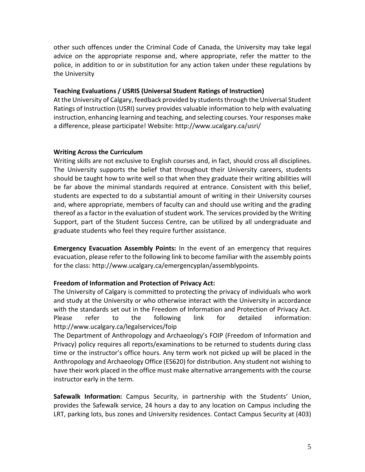other such offences under the Criminal Code of Canada, the University may take legal advice on the appropriate response and, where appropriate, refer the matter to the police, in addition to or in substitution for any action taken under these regulations by the University

## **Teaching Evaluations / USRIS (Universal Student Ratings of Instruction)**

At the University of Calgary, feedback provided by students through the Universal Student Ratings of Instruction (USRI) survey provides valuable information to help with evaluating instruction, enhancing learning and teaching, and selecting courses. Your responses make a difference, please participate! Website: http://www.ucalgary.ca/usri/

## **Writing Across the Curriculum**

Writing skills are not exclusive to English courses and, in fact, should cross all disciplines. The University supports the belief that throughout their University careers, students should be taught how to write well so that when they graduate their writing abilities will be far above the minimal standards required at entrance. Consistent with this belief, students are expected to do a substantial amount of writing in their University courses and, where appropriate, members of faculty can and should use writing and the grading thereof as a factor in the evaluation of student work. The services provided by the Writing Support, part of the Student Success Centre, can be utilized by all undergraduate and graduate students who feel they require further assistance.

**Emergency Evacuation Assembly Points:** In the event of an emergency that requires evacuation, please refer to the following link to become familiar with the assembly points for the class: http://www.ucalgary.ca/emergencyplan/assemblypoints.

# **Freedom of Information and Protection of Privacy Act:**

The University of Calgary is committed to protecting the privacy of individuals who work and study at the University or who otherwise interact with the University in accordance with the standards set out in the Freedom of Information and Protection of Privacy Act. Please refer to the following link for detailed information: http://www.ucalgary.ca/legalservices/foip

The Department of Anthropology and Archaeology's FOIP (Freedom of Information and Privacy) policy requires all reports/examinations to be returned to students during class time or the instructor's office hours. Any term work not picked up will be placed in the Anthropology and Archaeology Office (ES620) for distribution. Any student not wishing to have their work placed in the office must make alternative arrangements with the course instructor early in the term.

**Safewalk Information:** Campus Security, in partnership with the Students' Union, provides the Safewalk service, 24 hours a day to any location on Campus including the LRT, parking lots, bus zones and University residences. Contact Campus Security at (403)